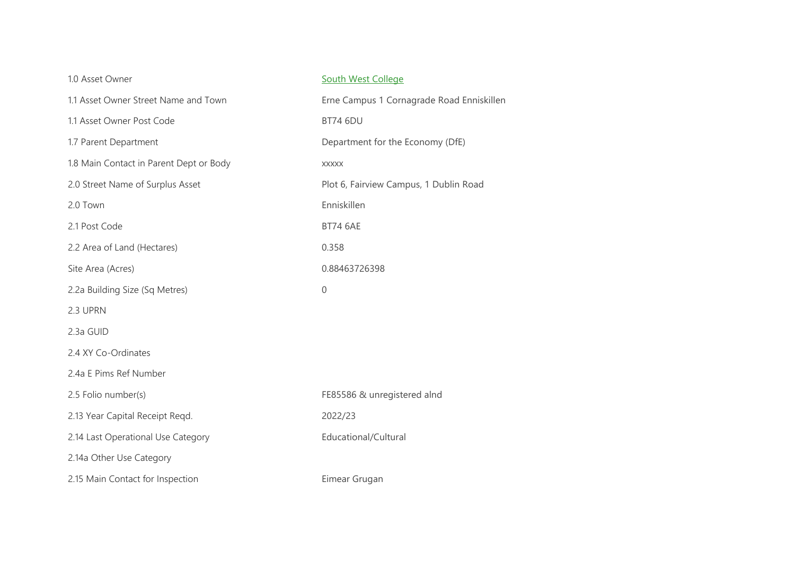| 1.0 Asset Owner                         | <b>South West College</b>                 |  |  |
|-----------------------------------------|-------------------------------------------|--|--|
| 1.1 Asset Owner Street Name and Town    | Erne Campus 1 Cornagrade Road Enniskillen |  |  |
| 1.1 Asset Owner Post Code               | <b>BT74 6DU</b>                           |  |  |
| 1.7 Parent Department                   | Department for the Economy (DfE)          |  |  |
| 1.8 Main Contact in Parent Dept or Body | <b>XXXXX</b>                              |  |  |
| 2.0 Street Name of Surplus Asset        | Plot 6, Fairview Campus, 1 Dublin Road    |  |  |
| 2.0 Town                                | Enniskillen                               |  |  |
| 2.1 Post Code                           | <b>BT74 6AE</b>                           |  |  |
| 2.2 Area of Land (Hectares)             | 0.358                                     |  |  |
| Site Area (Acres)                       | 0.88463726398                             |  |  |
| 2.2a Building Size (Sq Metres)          | $\boldsymbol{0}$                          |  |  |
| 2.3 UPRN                                |                                           |  |  |
| 2.3a GUID                               |                                           |  |  |
| 2.4 XY Co-Ordinates                     |                                           |  |  |
| 2.4a E Pims Ref Number                  |                                           |  |  |
| 2.5 Folio number(s)                     | FE85586 & unregistered alnd               |  |  |
| 2.13 Year Capital Receipt Regd.         | 2022/23                                   |  |  |
| 2.14 Last Operational Use Category      | Educational/Cultural                      |  |  |
| 2.14a Other Use Category                |                                           |  |  |
| 2.15 Main Contact for Inspection        | Eimear Grugan                             |  |  |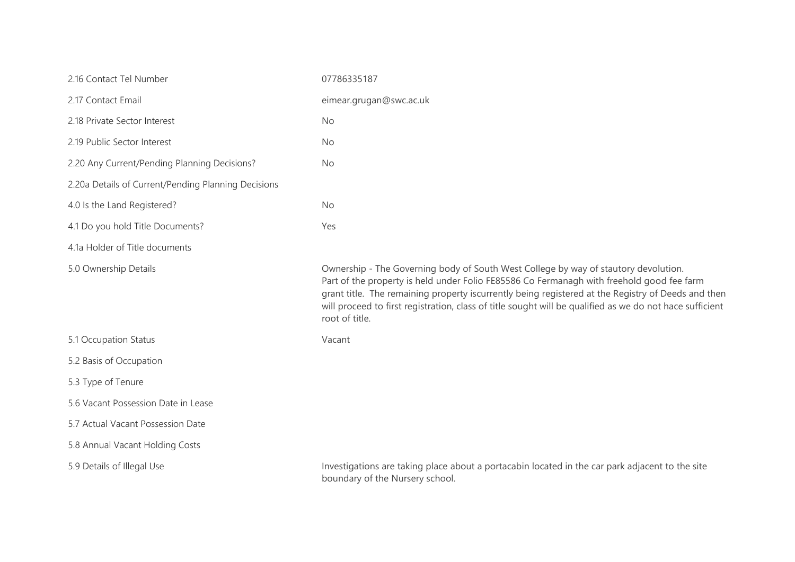| 2.16 Contact Tel Number                             | 07786335187                                                                                                                                                                                                                                                                                                                                                                                                          |
|-----------------------------------------------------|----------------------------------------------------------------------------------------------------------------------------------------------------------------------------------------------------------------------------------------------------------------------------------------------------------------------------------------------------------------------------------------------------------------------|
| 2.17 Contact Email                                  | eimear.grugan@swc.ac.uk                                                                                                                                                                                                                                                                                                                                                                                              |
| 2.18 Private Sector Interest                        | <b>No</b>                                                                                                                                                                                                                                                                                                                                                                                                            |
| 2.19 Public Sector Interest                         | No                                                                                                                                                                                                                                                                                                                                                                                                                   |
| 2.20 Any Current/Pending Planning Decisions?        | <b>No</b>                                                                                                                                                                                                                                                                                                                                                                                                            |
| 2.20a Details of Current/Pending Planning Decisions |                                                                                                                                                                                                                                                                                                                                                                                                                      |
| 4.0 Is the Land Registered?                         | <b>No</b>                                                                                                                                                                                                                                                                                                                                                                                                            |
| 4.1 Do you hold Title Documents?                    | Yes                                                                                                                                                                                                                                                                                                                                                                                                                  |
| 4.1a Holder of Title documents                      |                                                                                                                                                                                                                                                                                                                                                                                                                      |
| 5.0 Ownership Details                               | Ownership - The Governing body of South West College by way of stautory devolution.<br>Part of the property is held under Folio FE85586 Co Fermanagh with freehold good fee farm<br>grant title. The remaining property iscurrently being registered at the Registry of Deeds and then<br>will proceed to first registration, class of title sought will be qualified as we do not hace sufficient<br>root of title. |
| 5.1 Occupation Status                               | Vacant                                                                                                                                                                                                                                                                                                                                                                                                               |
| 5.2 Basis of Occupation                             |                                                                                                                                                                                                                                                                                                                                                                                                                      |
| 5.3 Type of Tenure                                  |                                                                                                                                                                                                                                                                                                                                                                                                                      |
| 5.6 Vacant Possession Date in Lease                 |                                                                                                                                                                                                                                                                                                                                                                                                                      |
| 5.7 Actual Vacant Possession Date                   |                                                                                                                                                                                                                                                                                                                                                                                                                      |
| 5.8 Annual Vacant Holding Costs                     |                                                                                                                                                                                                                                                                                                                                                                                                                      |
| 5.9 Details of Illegal Use                          | Investigations are taking place about a portacabin located in the car park adjacent to the site<br>boundary of the Nursery school.                                                                                                                                                                                                                                                                                   |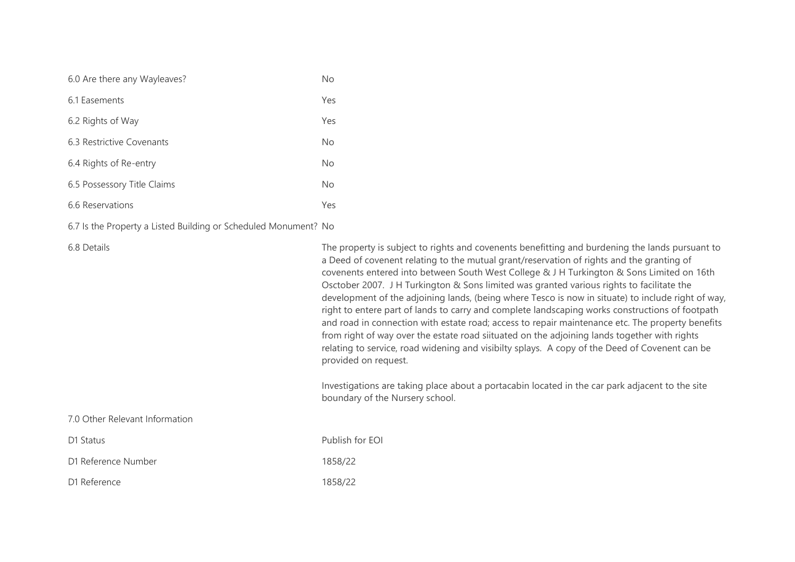| 6.0 Are there any Wayleaves? | No  |
|------------------------------|-----|
| 6.1 Fasements                | Yes |
| 6.2 Rights of Way            | Yes |
| 6.3 Restrictive Covenants    | No  |
| 6.4 Rights of Re-entry       | No  |
| 6.5 Possessory Title Claims  | No  |
| 6.6 Reservations             | Yes |

6.7 Is the Property a Listed Building or Scheduled Monument? No

6.8 Details The property is subject to rights and covenents benefitting and burdening the lands pursuant to a Deed of covenent relating to the mutual grant/reservation of rights and the granting of covenents entered into between South West College & J H Turkington & Sons Limited on 16th Osctober 2007. J H Turkington & Sons limited was granted various rights to facilitate the development of the adjoining lands, (being where Tesco is now in situate) to include right of way, right to entere part of lands to carry and complete landscaping works constructions of footpath and road in connection with estate road; access to repair maintenance etc. The property benefits from right of way over the estate road siituated on the adjoining lands together with rights relating to service, road widening and visibilty splays. A copy of the Deed of Covenent can be provided on request.

> Investigations are taking place about a portacabin located in the car park adjacent to the site boundary of the Nursery school.

7.0 Other Relevant Information

| D1 Status           |  |  |
|---------------------|--|--|
| D1 Reference Number |  |  |

D1 Reference 1858/22

Publish for FOI 1858/22